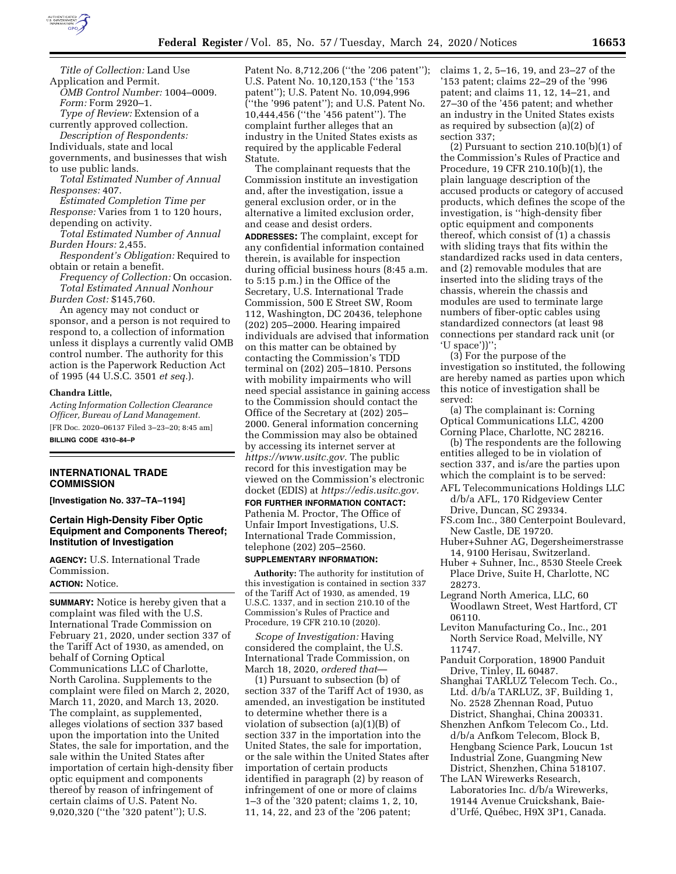

*Title of Collection:* Land Use Application and Permit. *OMB Control Number:* 1004–0009.

*Form:* Form 2920–1. *Type of Review:* Extension of a

currently approved collection.

*Description of Respondents:* 

Individuals, state and local

governments, and businesses that wish to use public lands.

*Total Estimated Number of Annual Responses:* 407.

*Estimated Completion Time per Response:* Varies from 1 to 120 hours, depending on activity.

*Total Estimated Number of Annual Burden Hours:* 2,455.

*Respondent's Obligation:* Required to obtain or retain a benefit.

*Frequency of Collection:* On occasion. *Total Estimated Annual Nonhour Burden Cost:* \$145,760.

An agency may not conduct or sponsor, and a person is not required to respond to, a collection of information unless it displays a currently valid OMB control number. The authority for this action is the Paperwork Reduction Act of 1995 (44 U.S.C. 3501 *et seq.*).

### **Chandra Little,**

*Acting Information Collection Clearance Officer, Bureau of Land Management.*  [FR Doc. 2020–06137 Filed 3–23–20; 8:45 am] **BILLING CODE 4310–84–P** 

**INTERNATIONAL TRADE COMMISSION** 

**[Investigation No. 337–TA–1194]** 

# **Certain High-Density Fiber Optic Equipment and Components Thereof; Institution of Investigation**

**AGENCY:** U.S. International Trade Commission.

# **ACTION:** Notice.

**SUMMARY:** Notice is hereby given that a complaint was filed with the U.S. International Trade Commission on February 21, 2020, under section 337 of the Tariff Act of 1930, as amended, on behalf of Corning Optical Communications LLC of Charlotte, North Carolina. Supplements to the complaint were filed on March 2, 2020, March 11, 2020, and March 13, 2020. The complaint, as supplemented, alleges violations of section 337 based upon the importation into the United States, the sale for importation, and the sale within the United States after importation of certain high-density fiber optic equipment and components thereof by reason of infringement of certain claims of U.S. Patent No. 9,020,320 (''the '320 patent''); U.S.

Patent No. 8,712,206 ("the '206 patent"); U.S. Patent No. 10,120,153 (''the '153 patent''); U.S. Patent No. 10,094,996 (''the '996 patent''); and U.S. Patent No. 10,444,456 (''the '456 patent''). The complaint further alleges that an industry in the United States exists as required by the applicable Federal Statute.

The complainant requests that the Commission institute an investigation and, after the investigation, issue a general exclusion order, or in the alternative a limited exclusion order, and cease and desist orders.

**ADDRESSES:** The complaint, except for any confidential information contained therein, is available for inspection during official business hours (8:45 a.m. to 5:15 p.m.) in the Office of the Secretary, U.S. International Trade Commission, 500 E Street SW, Room 112, Washington, DC 20436, telephone (202) 205–2000. Hearing impaired individuals are advised that information on this matter can be obtained by contacting the Commission's TDD terminal on (202) 205–1810. Persons with mobility impairments who will need special assistance in gaining access to the Commission should contact the Office of the Secretary at (202) 205– 2000. General information concerning the Commission may also be obtained by accessing its internet server at *[https://www.usitc.gov.](https://www.usitc.gov)* The public record for this investigation may be viewed on the Commission's electronic docket (EDIS) at *[https://edis.usitc.gov.](https://edis.usitc.gov)* 

**FOR FURTHER INFORMATION CONTACT:**  Pathenia M. Proctor, The Office of Unfair Import Investigations, U.S. International Trade Commission, telephone (202) 205–2560.

### **SUPPLEMENTARY INFORMATION:**

**Authority:** The authority for institution of this investigation is contained in section 337 of the Tariff Act of 1930, as amended, 19 U.S.C. 1337, and in section 210.10 of the Commission's Rules of Practice and Procedure, 19 CFR 210.10 (2020).

*Scope of Investigation:* Having considered the complaint, the U.S. International Trade Commission, on March 18, 2020, *ordered that*—

(1) Pursuant to subsection (b) of section 337 of the Tariff Act of 1930, as amended, an investigation be instituted to determine whether there is a violation of subsection (a)(1)(B) of section 337 in the importation into the United States, the sale for importation, or the sale within the United States after importation of certain products identified in paragraph (2) by reason of infringement of one or more of claims 1–3 of the '320 patent; claims 1, 2, 10, 11, 14, 22, and 23 of the '206 patent;

claims 1, 2, 5–16, 19, and 23–27 of the '153 patent; claims 22–29 of the '996 patent; and claims 11, 12, 14–21, and 27–30 of the '456 patent; and whether an industry in the United States exists as required by subsection (a)(2) of section 337;

 $(2)$  Pursuant to section 210.10 $(b)(1)$  of the Commission's Rules of Practice and Procedure, 19 CFR 210.10(b)(1), the plain language description of the accused products or category of accused products, which defines the scope of the investigation, is ''high-density fiber optic equipment and components thereof, which consist of (1) a chassis with sliding trays that fits within the standardized racks used in data centers, and (2) removable modules that are inserted into the sliding trays of the chassis, wherein the chassis and modules are used to terminate large numbers of fiber-optic cables using standardized connectors (at least 98 connections per standard rack unit (or 'U space'))'';

(3) For the purpose of the investigation so instituted, the following are hereby named as parties upon which this notice of investigation shall be served:

(a) The complainant is: Corning Optical Communications LLC, 4200 Corning Place, Charlotte, NC 28216.

(b) The respondents are the following entities alleged to be in violation of section 337, and is/are the parties upon which the complaint is to be served:

- AFL Telecommunications Holdings LLC d/b/a AFL, 170 Ridgeview Center Drive, Duncan, SC 29334.
- FS.com Inc., 380 Centerpoint Boulevard, New Castle, DE 19720.
- Huber+Suhner AG, Degersheimerstrasse 14, 9100 Herisau, Switzerland.
- Huber + Suhner, Inc., 8530 Steele Creek Place Drive, Suite H, Charlotte, NC 28273.
- Legrand North America, LLC, 60 Woodlawn Street, West Hartford, CT 06110.
- Leviton Manufacturing Co., Inc., 201 North Service Road, Melville, NY 11747.
- Panduit Corporation, 18900 Panduit Drive, Tinley, IL 60487.
- Shanghai TARLUZ Telecom Tech. Co., Ltd. d/b/a TARLUZ, 3F, Building 1, No. 2528 Zhennan Road, Putuo District, Shanghai, China 200331.
- Shenzhen Anfkom Telecom Co., Ltd. d/b/a Anfkom Telecom, Block B, Hengbang Science Park, Loucun 1st Industrial Zone, Guangming New District, Shenzhen, China 518107.
- The LAN Wirewerks Research, Laboratories Inc. d/b/a Wirewerks, 19144 Avenue Cruickshank, Baied'Urfé, Québec, H9X 3P1, Canada.